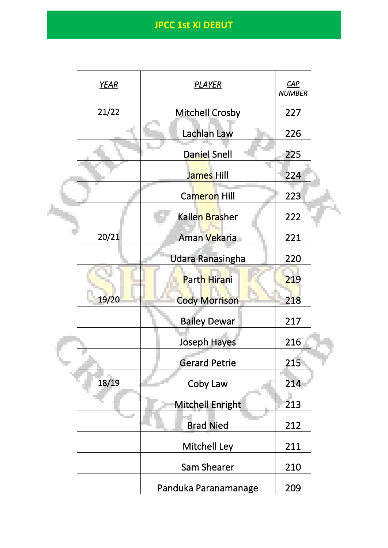|  | <b>YEAR</b> | <b>PLAYER</b>           | CAP<br><b>NUMBER</b> |  |
|--|-------------|-------------------------|----------------------|--|
|  | 21/22       | <b>Mitchell Crosby</b>  | 227                  |  |
|  |             | Lachlan Law             | 226                  |  |
|  |             | <b>Daniel Snell</b>     | 225                  |  |
|  |             | James Hill              | 224                  |  |
|  |             | Cameron Hill            | 223                  |  |
|  |             | Kallen Brasher          | 222                  |  |
|  | 20/21       | Aman Vekaria            | 221                  |  |
|  |             | <b>Udara Ranasingha</b> | 220                  |  |
|  |             | Parth Hirani            | 219                  |  |
|  | 19/20       | <b>Cody Morrison</b>    | 218                  |  |
|  |             | <b>Bailey Dewar</b>     | 217                  |  |
|  |             | <b>Joseph Hayes</b>     | 216                  |  |
|  |             | <b>Gerard Petrie</b>    | 215                  |  |
|  | 18/19       | Coby Law                | 214                  |  |
|  |             | Mitchell Enright        | 213                  |  |
|  |             | <b>Brad Nied</b>        | 212                  |  |
|  |             | Mitchell Ley            | 211                  |  |
|  |             | Sam Shearer             | 210                  |  |
|  |             | Panduka Paranamanage    | 209                  |  |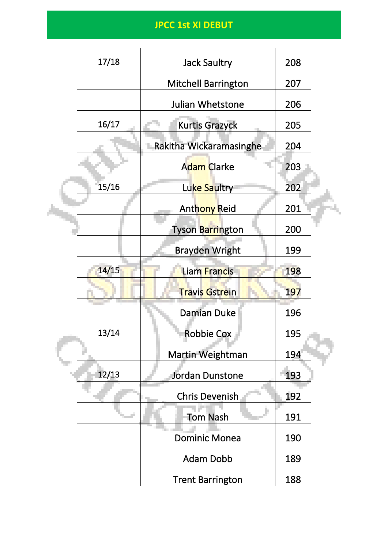|  | 17/18 | <b>Jack Saultry</b>        | 208 |  |
|--|-------|----------------------------|-----|--|
|  |       | <b>Mitchell Barrington</b> | 207 |  |
|  |       | Julian Whetstone           | 206 |  |
|  | 16/17 | <b>Kurtis Grazyck</b>      | 205 |  |
|  |       | Rakitha Wickaramasinghe    | 204 |  |
|  |       | Adam Clarke                | 203 |  |
|  | 15/16 | Luke Saultry               | 202 |  |
|  |       | Anthony Reid               | 201 |  |
|  |       | Tyson Barrington           | 200 |  |
|  |       | <b>Brayden Wright</b>      | 199 |  |
|  | 14/15 | <b>Liam Francis</b>        | 198 |  |
|  |       | <b>Travis Gstrein</b>      | 197 |  |
|  |       | <b>Damian Duke</b>         | 196 |  |
|  | 13/14 | <b>Robbie Cox</b>          | 195 |  |
|  |       | Martin Weightman           | 194 |  |
|  | 12/13 | <b>Jordan Dunstone</b>     | 193 |  |
|  |       | <b>Chris Devenish</b>      | 192 |  |
|  |       | <b>Tom Nash</b>            | 191 |  |
|  |       | <b>Dominic Monea</b>       | 190 |  |
|  |       | <b>Adam Dobb</b>           | 189 |  |
|  |       | <b>Trent Barrington</b>    | 188 |  |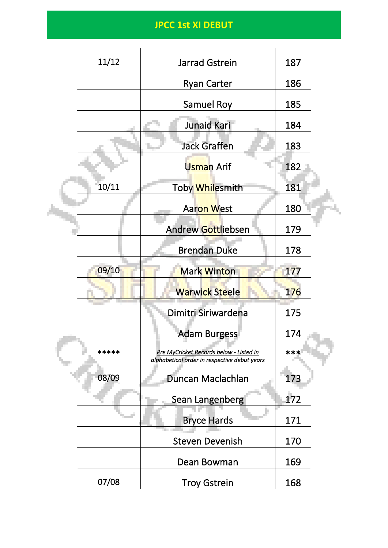| 11/12 | Jarrad Gstrein                                                                          | 187 |  |
|-------|-----------------------------------------------------------------------------------------|-----|--|
|       | <b>Ryan Carter</b>                                                                      | 186 |  |
|       | <b>Samuel Roy</b>                                                                       | 185 |  |
|       | Junaid Kari                                                                             | 184 |  |
|       | <b>Jack Graffen</b>                                                                     | 183 |  |
|       | Usman Arif                                                                              | 182 |  |
| 10/11 | Toby Whilesmith                                                                         | 181 |  |
|       | <b>Aaron West</b>                                                                       | 180 |  |
|       | <b>Andrew Gottliebsen</b>                                                               | 179 |  |
|       | <b>Brendan Duke</b>                                                                     | 178 |  |
| 09/10 | <b>Mark Winton</b>                                                                      | 177 |  |
|       | <b>Warwick Steele</b>                                                                   | 176 |  |
|       | Dimitri Siriwardena                                                                     | 175 |  |
|       | <b>Adam Burgess</b>                                                                     | 174 |  |
| ***** | Pre MyCricket Records below - Listed in<br>alphabetical order in respective debut years | *** |  |
| 08/09 | Duncan Maclachlan                                                                       | 173 |  |
|       | Sean Langenberg                                                                         | 172 |  |
|       | <b>Bryce Hards</b>                                                                      | 171 |  |
|       | <b>Steven Devenish</b>                                                                  | 170 |  |
|       | Dean Bowman                                                                             | 169 |  |
| 07/08 | <b>Troy Gstrein</b>                                                                     | 168 |  |
|       |                                                                                         |     |  |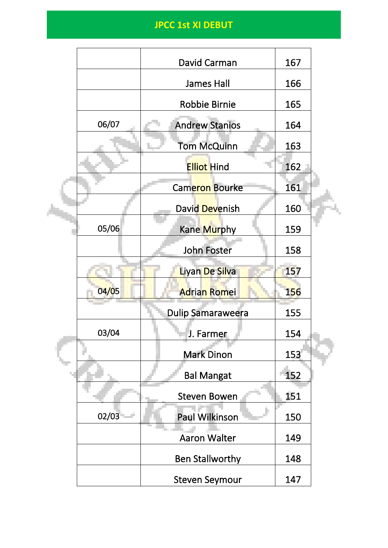|  |       | David Carman             | 167        |  |
|--|-------|--------------------------|------------|--|
|  |       | <b>James Hall</b>        | 166        |  |
|  |       | Robbie Birnie            | 165        |  |
|  | 06/07 | <b>Andrew Stanios</b>    | 164        |  |
|  |       | Tom McQuinn              | 163        |  |
|  |       | <b>Elliot Hind</b>       | 162        |  |
|  |       | Cameron Bourke           | 161        |  |
|  |       | David Devenish           | 160        |  |
|  | 05/06 | Kane Murphy              | 159        |  |
|  |       | <b>John Foster</b>       | 158        |  |
|  |       | Liyan De Silva           | 157        |  |
|  | 04/05 | <b>Adrian Romei</b>      | <b>156</b> |  |
|  |       | <b>Dulip Samaraweera</b> | 155        |  |
|  | 03/04 | J. Farmer                | 154        |  |
|  |       | <b>Mark Dinon</b>        | 153        |  |
|  |       | <b>Bal Mangat</b>        | 152        |  |
|  |       | <b>Steven Bowen</b>      | 151        |  |
|  | 02/03 | <b>Paul Wilkinson</b>    | 150        |  |
|  |       | Aaron Walter             | 149        |  |
|  |       | <b>Ben Stallworthy</b>   | 148        |  |
|  |       | <b>Steven Seymour</b>    | 147        |  |